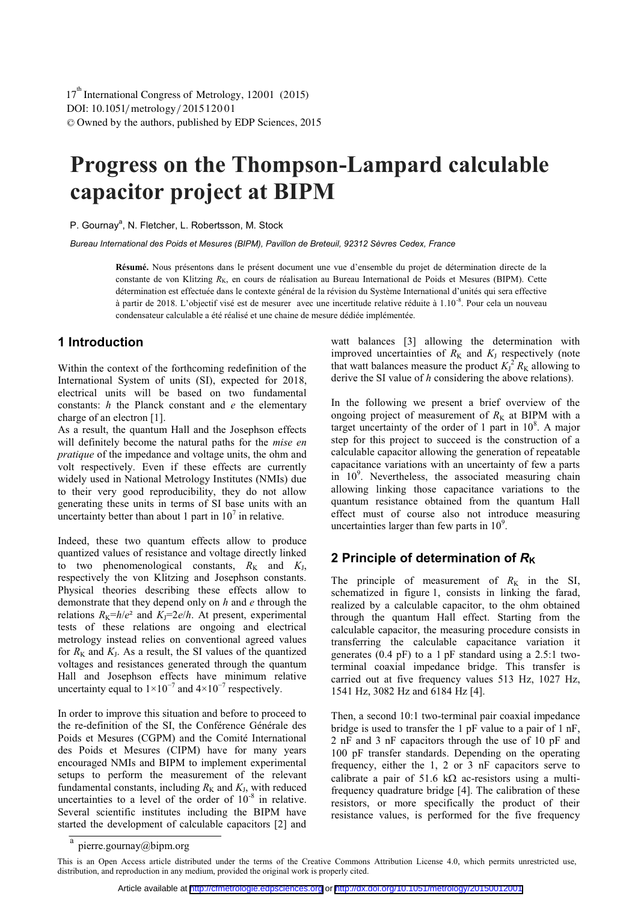# **Progress on the Thompson-Lampard calculable capacitor project at BIPM**

P. Gournay<sup>a</sup>, N. Fletcher, L. Robertsson, M. Stock

*Bureau International des Poids et Mesures (BIPM), Pavillon de Breteuil, 92312 Sèvres Cedex, France* 

**Résumé.** Nous présentons dans le présent document une vue d'ensemble du projet de détermination directe de la constante de von Klitzing  $R_K$ , en cours de réalisation au Bureau International de Poids et Mesures (BIPM). Cette détermination est effectuée dans le contexte général de la révision du Système International d'unités qui sera effective à partir de 2018. L'objectif visé est de mesurer avec une incertitude relative réduite à 1.10-8. Pour cela un nouveau condensateur calculable a été réalisé et une chaine de mesure dédiée implémentée.

### **1 Introduction**

Within the context of the forthcoming redefinition of the International System of units (SI), expected for 2018, electrical units will be based on two fundamental constants: *h* the Planck constant and *e* the elementary charge of an electron [1].

As a result, the quantum Hall and the Josephson effects will definitely become the natural paths for the *mise en pratique* of the impedance and voltage units, the ohm and volt respectively. Even if these effects are currently widely used in National Metrology Institutes (NMIs) due to their very good reproducibility, they do not allow generating these units in terms of SI base units with an uncertainty better than about 1 part in  $10^7$  in relative.

Indeed, these two quantum effects allow to produce quantized values of resistance and voltage directly linked to two phenomenological constants,  $R_K$  and  $K_J$ , respectively the von Klitzing and Josephson constants. Physical theories describing these effects allow to demonstrate that they depend only on *h* and *e* through the relations  $R_K=h/e^2$  and  $K_J=2e/h$ . At present, experimental tests of these relations are ongoing and electrical metrology instead relies on conventional agreed values for  $R_K$  and  $K_I$ . As a result, the SI values of the quantized voltages and resistances generated through the quantum Hall and Josephson effects have minimum relative uncertainty equal to  $1\times10^{-7}$  and  $4\times10^{-7}$  respectively.

In order to improve this situation and before to proceed to the re-definition of the SI, the Conférence Générale des Poids et Mesures (CGPM) and the Comité International des Poids et Mesures (CIPM) have for many years encouraged NMIs and BIPM to implement experimental setups to perform the measurement of the relevant fundamental constants, including  $R_K$  and  $K_J$ , with reduced uncertainties to a level of the order of  $10^{-8}$  in relative. Several scientific institutes including the BIPM have started the development of calculable capacitors [2] and

watt balances [3] allowing the determination with improved uncertainties of  $R_K$  and  $K_J$  respectively (note that watt balances measure the product  $K_J^2 R_K$  allowing to derive the SI value of *h* considering the above relations).

In the following we present a brief overview of the ongoing project of measurement of  $R_K$  at BIPM with a target uncertainty of the order of 1 part in  $10^8$ . A major step for this project to succeed is the construction of a calculable capacitor allowing the generation of repeatable capacitance variations with an uncertainty of few a parts in 10<sup>9</sup>. Nevertheless, the associated measuring chain allowing linking those capacitance variations to the quantum resistance obtained from the quantum Hall effect must of course also not introduce measuring uncertainties larger than few parts in  $10<sup>9</sup>$ .

## **2 Principle of determination of**  $R_k$

The principle of measurement of  $R_K$  in the SI, schematized in figure 1, consists in linking the farad, realized by a calculable capacitor, to the ohm obtained through the quantum Hall effect. Starting from the calculable capacitor, the measuring procedure consists in transferring the calculable capacitance variation it generates (0.4 pF) to a 1 pF standard using a 2.5:1 twoterminal coaxial impedance bridge. This transfer is carried out at five frequency values 513 Hz, 1027 Hz, 1541 Hz, 3082 Hz and 6184 Hz [4].

Then, a second 10:1 two-terminal pair coaxial impedance bridge is used to transfer the 1 pF value to a pair of 1 nF, 2 nF and 3 nF capacitors through the use of 10 pF and 100 pF transfer standards. Depending on the operating frequency, either the 1, 2 or 3 nF capacitors serve to calibrate a pair of 51.6 k $\Omega$  ac-resistors using a multifrequency quadrature bridge [4]. The calibration of these resistors, or more specifically the product of their resistance values, is performed for the five frequency

<sup>&</sup>lt;sup>a</sup> pierre.gournay@bipm.org

This is an Open Access article distributed under the terms of the Creative Commons Attribution License 4.0, which permits unrestricted use, distribution, and reproduction in any medium, provided the original work is properly cited.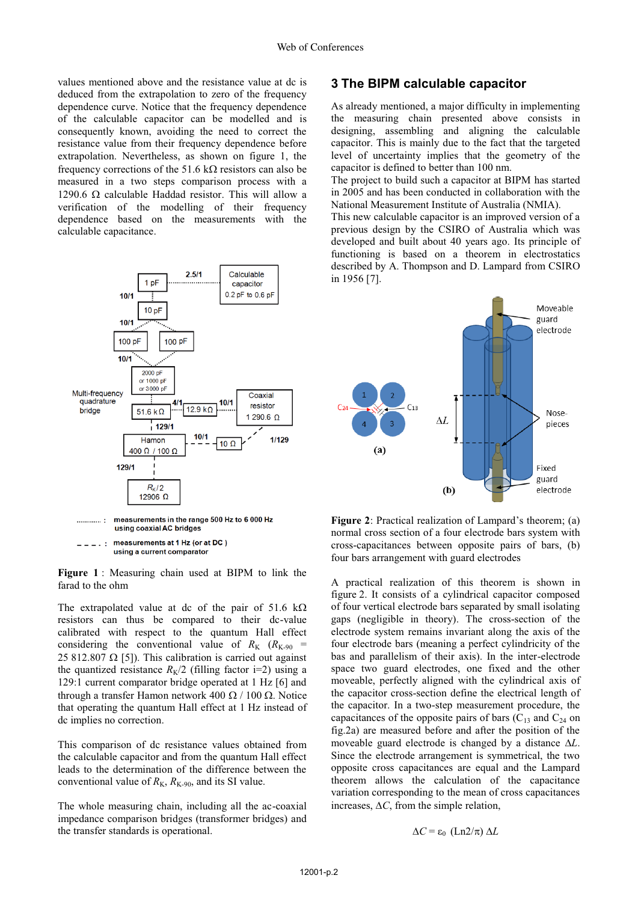values mentioned above and the resistance value at dc is deduced from the extrapolation to zero of the frequency dependence curve. Notice that the frequency dependence of the calculable capacitor can be modelled and is consequently known, avoiding the need to correct the resistance value from their frequency dependence before extrapolation. Nevertheless, as shown on figure 1, the frequency corrections of the 51.6 k $\Omega$  resistors can also be measured in a two steps comparison process with a 1290.6  $\Omega$  calculable Haddad resistor. This will allow a verification of the modelling of their frequency dependence based on the measurements with the calculable capacitance.



 $\frac{1}{2}$ using a current comparator

**Figure 1** : Measuring chain used at BIPM to link the farad to the ohm

The extrapolated value at dc of the pair of 51.6 k $\Omega$ resistors can thus be compared to their dc-value calibrated with respect to the quantum Hall effect considering the conventional value of  $R_K$  ( $R_{K-90}$  = 25 812.807  $\Omega$  [5]). This calibration is carried out against the quantized resistance  $R_K/2$  (filling factor i=2) using a 129:1 current comparator bridge operated at 1 Hz [6] and through a transfer Hamon network 400  $\Omega$  / 100  $\Omega$ . Notice that operating the quantum Hall effect at 1 Hz instead of dc implies no correction.

This comparison of dc resistance values obtained from the calculable capacitor and from the quantum Hall effect leads to the determination of the difference between the conventional value of  $R_{K}$ ,  $R_{K-90}$ , and its SI value.

The whole measuring chain, including all the ac-coaxial impedance comparison bridges (transformer bridges) and the transfer standards is operational.

### **3 The BIPM calculable capacitor**

As already mentioned, a major difficulty in implementing the measuring chain presented above consists in designing, assembling and aligning the calculable capacitor. This is mainly due to the fact that the targeted level of uncertainty implies that the geometry of the capacitor is defined to better than 100 nm.

The project to build such a capacitor at BIPM has started in 2005 and has been conducted in collaboration with the National Measurement Institute of Australia (NMIA).

This new calculable capacitor is an improved version of a previous design by the CSIRO of Australia which was developed and built about 40 years ago. Its principle of functioning is based on a theorem in electrostatics described by A. Thompson and D. Lampard from CSIRO in 1956 [7].



**Figure 2**: Practical realization of Lampard's theorem; (a) normal cross section of a four electrode bars system with cross-capacitances between opposite pairs of bars, (b) four bars arrangement with guard electrodes

A practical realization of this theorem is shown in figure 2. It consists of a cylindrical capacitor composed of four vertical electrode bars separated by small isolating gaps (negligible in theory). The cross-section of the electrode system remains invariant along the axis of the four electrode bars (meaning a perfect cylindricity of the bas and parallelism of their axis). In the inter-electrode space two guard electrodes, one fixed and the other moveable, perfectly aligned with the cylindrical axis of the capacitor cross-section define the electrical length of the capacitor. In a two-step measurement procedure, the capacitances of the opposite pairs of bars  $(C_{13}$  and  $C_{24}$  on fig.2a) are measured before and after the position of the moveable guard electrode is changed by a distance *L*. Since the electrode arrangement is symmetrical, the two opposite cross capacitances are equal and the Lampard theorem allows the calculation of the capacitance variation corresponding to the mean of cross capacitances increases,  $\Delta C$ , from the simple relation,

$$
\Delta C = \varepsilon_0 \text{ (Ln2/}\pi \text{)} \Delta L
$$